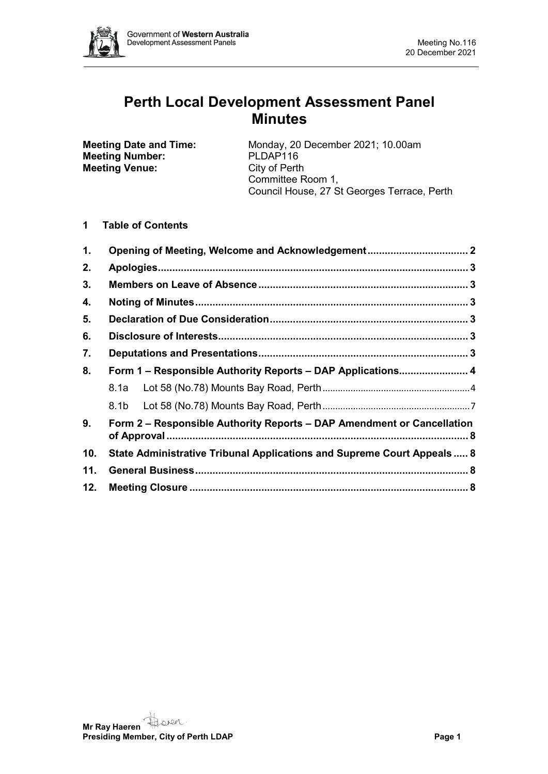

# **Perth Local Development Assessment Panel Minutes**

**Meeting Number:** PLDAP116<br> **Meeting Venue:** City of Perth **Meeting Venue:** 

**Meeting Date and Time:** Monday, 20 December 2021; 10.00am<br>**Meeting Number:** PLDAP116 Committee Room 1, Council House, 27 St Georges Terrace, Perth

# **1 Table of Contents**

| 1.  |                                                                        |  |  |
|-----|------------------------------------------------------------------------|--|--|
| 2.  |                                                                        |  |  |
| 3.  |                                                                        |  |  |
| 4.  |                                                                        |  |  |
| 5.  |                                                                        |  |  |
| 6.  |                                                                        |  |  |
| 7.  |                                                                        |  |  |
| 8.  | Form 1 – Responsible Authority Reports – DAP Applications 4            |  |  |
|     |                                                                        |  |  |
|     |                                                                        |  |  |
| 9.  | Form 2 – Responsible Authority Reports – DAP Amendment or Cancellation |  |  |
| 10. | State Administrative Tribunal Applications and Supreme Court Appeals 8 |  |  |
| 11. |                                                                        |  |  |
| 12. |                                                                        |  |  |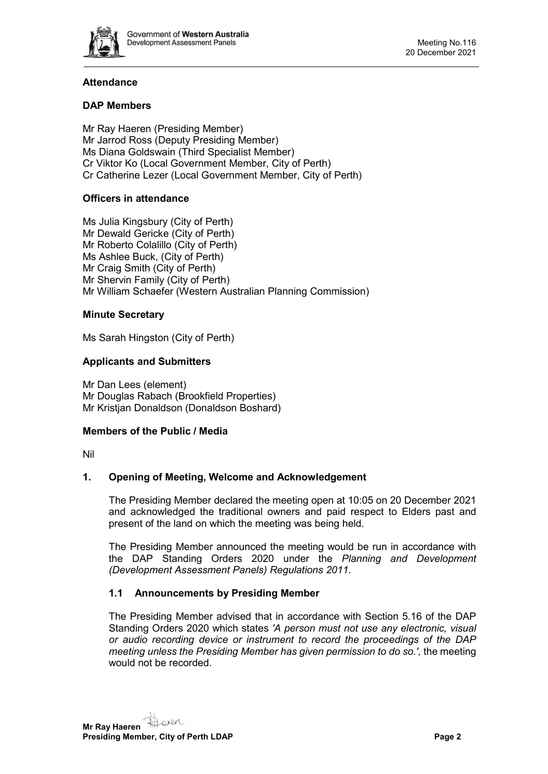

# **Attendance**

# **DAP Members**

Mr Ray Haeren (Presiding Member) Mr Jarrod Ross (Deputy Presiding Member) Ms Diana Goldswain (Third Specialist Member) Cr Viktor Ko (Local Government Member, City of Perth) Cr Catherine Lezer (Local Government Member, City of Perth)

# **Officers in attendance**

Ms Julia Kingsbury (City of Perth) Mr Dewald Gericke (City of Perth) Mr Roberto Colalillo (City of Perth) Ms Ashlee Buck, (City of Perth) Mr Craig Smith (City of Perth) Mr Shervin Family (City of Perth) Mr William Schaefer (Western Australian Planning Commission)

### **Minute Secretary**

Ms Sarah Hingston (City of Perth)

# **Applicants and Submitters**

Mr Dan Lees (element) Mr Douglas Rabach (Brookfield Properties) Mr Kristjan Donaldson (Donaldson Boshard)

### **Members of the Public / Media**

<span id="page-1-0"></span>Nil

### **1. Opening of Meeting, Welcome and Acknowledgement**

The Presiding Member declared the meeting open at 10:05 on 20 December 2021 and acknowledged the traditional owners and paid respect to Elders past and present of the land on which the meeting was being held.

The Presiding Member announced the meeting would be run in accordance with the DAP Standing Orders 2020 under the *Planning and Development (Development Assessment Panels) Regulations 2011.*

# **1.1 Announcements by Presiding Member**

The Presiding Member advised that in accordance with Section 5.16 of the DAP Standing Orders 2020 which states *'A person must not use any electronic, visual or audio recording device or instrument to record the proceedings of the DAP meeting unless the Presiding Member has given permission to do so.',* the meeting would not be recorded.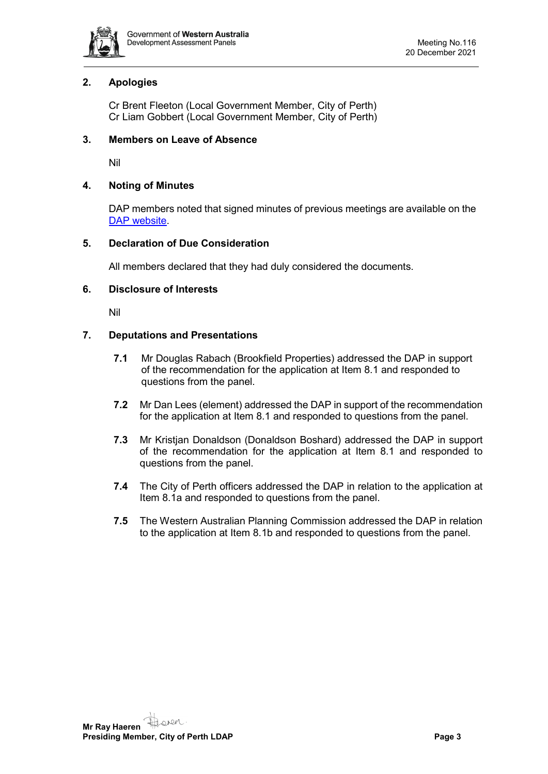

# <span id="page-2-0"></span>**2. Apologies**

Cr Brent Fleeton (Local Government Member, City of Perth) Cr Liam Gobbert (Local Government Member, City of Perth)

### <span id="page-2-1"></span>**3. Members on Leave of Absence**

Nil

### <span id="page-2-2"></span>**4. Noting of Minutes**

DAP members noted that signed minutes of previous meetings are available on the [DAP website.](https://www.dplh.wa.gov.au/about/development-assessment-panels/daps-agendas-and-minutes)

#### <span id="page-2-3"></span>**5. Declaration of Due Consideration**

All members declared that they had duly considered the documents.

#### <span id="page-2-4"></span>**6. Disclosure of Interests**

Nil

### <span id="page-2-5"></span>**7. Deputations and Presentations**

- **7.1** Mr Douglas Rabach (Brookfield Properties) addressed the DAP in support of the recommendation for the application at Item 8.1 and responded to questions from the panel.
- **7.2** Mr Dan Lees (element) addressed the DAP in support of the recommendation for the application at Item 8.1 and responded to questions from the panel.
- **7.3** Mr Kristjan Donaldson (Donaldson Boshard) addressed the DAP in support of the recommendation for the application at Item 8.1 and responded to questions from the panel.
- **7.4** The City of Perth officers addressed the DAP in relation to the application at Item 8.1a and responded to questions from the panel.
- **7.5** The Western Australian Planning Commission addressed the DAP in relation to the application at Item 8.1b and responded to questions from the panel.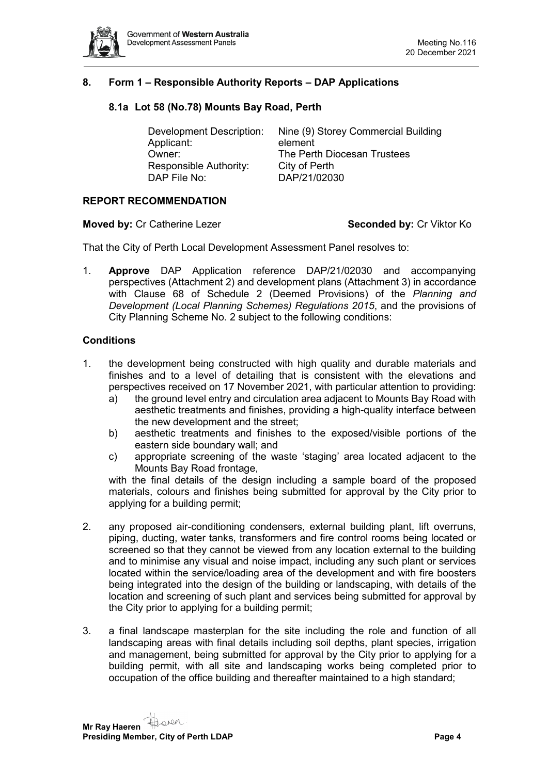

# <span id="page-3-1"></span><span id="page-3-0"></span>**8. Form 1 – Responsible Authority Reports – DAP Applications**

#### **8.1a Lot 58 (No.78) Mounts Bay Road, Perth**

| Development Description: | Nine (9) Storey Commercial Building |
|--------------------------|-------------------------------------|
| Applicant:               | element                             |
| Owner:                   | The Perth Diocesan Trustees         |
| Responsible Authority:   | City of Perth                       |
| DAP File No:             | DAP/21/02030                        |

#### **REPORT RECOMMENDATION**

**Moved by:** Cr Catherine Lezer **Seconded by:** Cr Viktor Ko

That the City of Perth Local Development Assessment Panel resolves to:

1. **Approve** DAP Application reference DAP/21/02030 and accompanying perspectives (Attachment 2) and development plans (Attachment 3) in accordance with Clause 68 of Schedule 2 (Deemed Provisions) of the *Planning and Development (Local Planning Schemes) Regulations 2015*, and the provisions of City Planning Scheme No. 2 subject to the following conditions:

#### **Conditions**

- 1. the development being constructed with high quality and durable materials and finishes and to a level of detailing that is consistent with the elevations and perspectives received on 17 November 2021, with particular attention to providing:
	- a) the ground level entry and circulation area adjacent to Mounts Bay Road with aesthetic treatments and finishes, providing a high-quality interface between the new development and the street;
	- b) aesthetic treatments and finishes to the exposed/visible portions of the eastern side boundary wall; and
	- c) appropriate screening of the waste 'staging' area located adjacent to the Mounts Bay Road frontage,

with the final details of the design including a sample board of the proposed materials, colours and finishes being submitted for approval by the City prior to applying for a building permit;

- 2. any proposed air-conditioning condensers, external building plant, lift overruns, piping, ducting, water tanks, transformers and fire control rooms being located or screened so that they cannot be viewed from any location external to the building and to minimise any visual and noise impact, including any such plant or services located within the service/loading area of the development and with fire boosters being integrated into the design of the building or landscaping, with details of the location and screening of such plant and services being submitted for approval by the City prior to applying for a building permit;
- 3. a final landscape masterplan for the site including the role and function of all landscaping areas with final details including soil depths, plant species, irrigation and management, being submitted for approval by the City prior to applying for a building permit, with all site and landscaping works being completed prior to occupation of the office building and thereafter maintained to a high standard;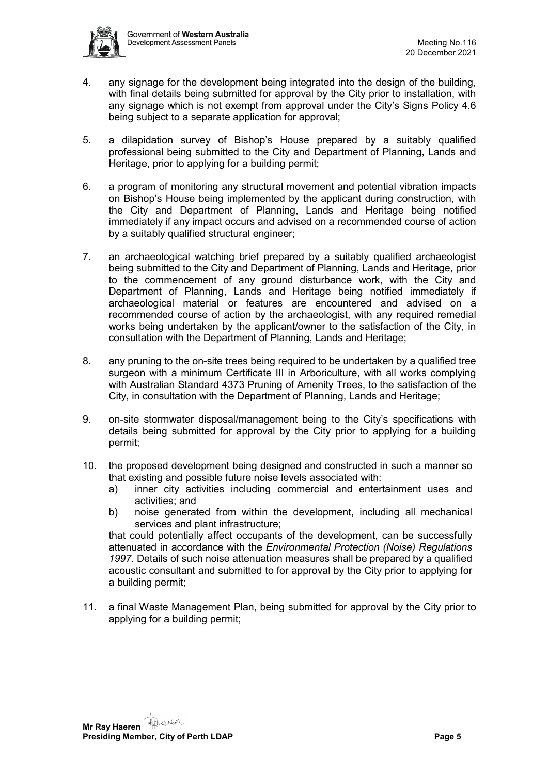

- 4. any signage for the development being integrated into the design of the building, with final details being submitted for approval by the City prior to installation, with any signage which is not exempt from approval under the City's Signs Policy 4.6 being subject to a separate application for approval;
- 5. a dilapidation survey of Bishop's House prepared by a suitably qualified professional being submitted to the City and Department of Planning, Lands and Heritage, prior to applying for a building permit;
- 6. a program of monitoring any structural movement and potential vibration impacts on Bishop's House being implemented by the applicant during construction, with the City and Department of Planning, Lands and Heritage being notified immediately if any impact occurs and advised on a recommended course of action by a suitably qualified structural engineer;
- 7. an archaeological watching brief prepared by a suitably qualified archaeologist being submitted to the City and Department of Planning, Lands and Heritage, prior to the commencement of any ground disturbance work, with the City and Department of Planning, Lands and Heritage being notified immediately if archaeological material or features are encountered and advised on a recommended course of action by the archaeologist, with any required remedial works being undertaken by the applicant/owner to the satisfaction of the City, in consultation with the Department of Planning, Lands and Heritage;
- 8. any pruning to the on-site trees being required to be undertaken by a qualified tree surgeon with a minimum Certificate III in Arboriculture, with all works complying with Australian Standard 4373 Pruning of Amenity Trees, to the satisfaction of the City, in consultation with the Department of Planning, Lands and Heritage;
- 9. on-site stormwater disposal/management being to the City's specifications with details being submitted for approval by the City prior to applying for a building permit;
- 10. the proposed development being designed and constructed in such a manner so that existing and possible future noise levels associated with:
	- a) inner city activities including commercial and entertainment uses and activities; and
	- b) noise generated from within the development, including all mechanical services and plant infrastructure;

that could potentially affect occupants of the development, can be successfully attenuated in accordance with the *Environmental Protection (Noise) Regulations 1997*. Details of such noise attenuation measures shall be prepared by a qualified acoustic consultant and submitted to for approval by the City prior to applying for a building permit;

11. a final Waste Management Plan, being submitted for approval by the City prior to applying for a building permit;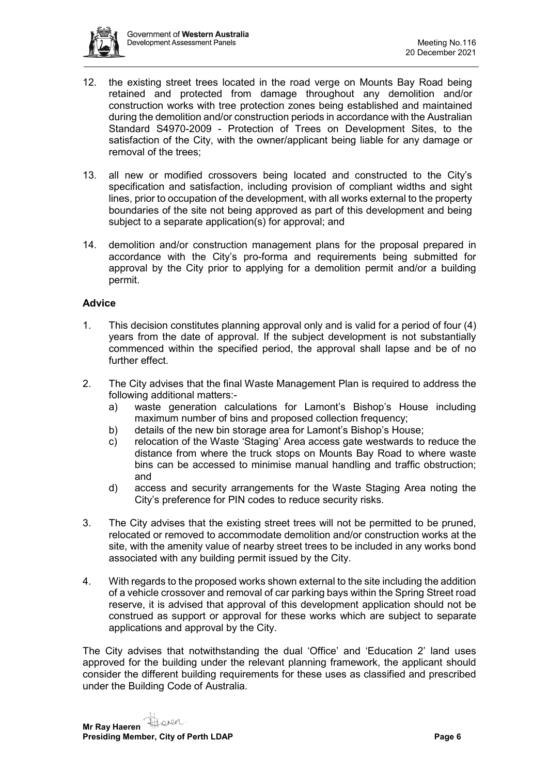

- 12. the existing street trees located in the road verge on Mounts Bay Road being retained and protected from damage throughout any demolition and/or construction works with tree protection zones being established and maintained during the demolition and/or construction periods in accordance with the Australian Standard S4970-2009 - Protection of Trees on Development Sites, to the satisfaction of the City, with the owner/applicant being liable for any damage or removal of the trees;
- 13. all new or modified crossovers being located and constructed to the City's specification and satisfaction, including provision of compliant widths and sight lines, prior to occupation of the development, with all works external to the property boundaries of the site not being approved as part of this development and being subject to a separate application(s) for approval; and
- 14. demolition and/or construction management plans for the proposal prepared in accordance with the City's pro-forma and requirements being submitted for approval by the City prior to applying for a demolition permit and/or a building permit.

#### **Advice**

- 1. This decision constitutes planning approval only and is valid for a period of four (4) years from the date of approval. If the subject development is not substantially commenced within the specified period, the approval shall lapse and be of no further effect.
- 2. The City advises that the final Waste Management Plan is required to address the following additional matters:
	- a) waste generation calculations for Lamont's Bishop's House including maximum number of bins and proposed collection frequency;
	- b) details of the new bin storage area for Lamont's Bishop's House;
	- c) relocation of the Waste 'Staging' Area access gate westwards to reduce the distance from where the truck stops on Mounts Bay Road to where waste bins can be accessed to minimise manual handling and traffic obstruction; and
	- d) access and security arrangements for the Waste Staging Area noting the City's preference for PIN codes to reduce security risks.
- 3. The City advises that the existing street trees will not be permitted to be pruned, relocated or removed to accommodate demolition and/or construction works at the site, with the amenity value of nearby street trees to be included in any works bond associated with any building permit issued by the City.
- 4. With regards to the proposed works shown external to the site including the addition of a vehicle crossover and removal of car parking bays within the Spring Street road reserve, it is advised that approval of this development application should not be construed as support or approval for these works which are subject to separate applications and approval by the City.

The City advises that notwithstanding the dual 'Office' and 'Education 2' land uses approved for the building under the relevant planning framework, the applicant should consider the different building requirements for these uses as classified and prescribed under the Building Code of Australia.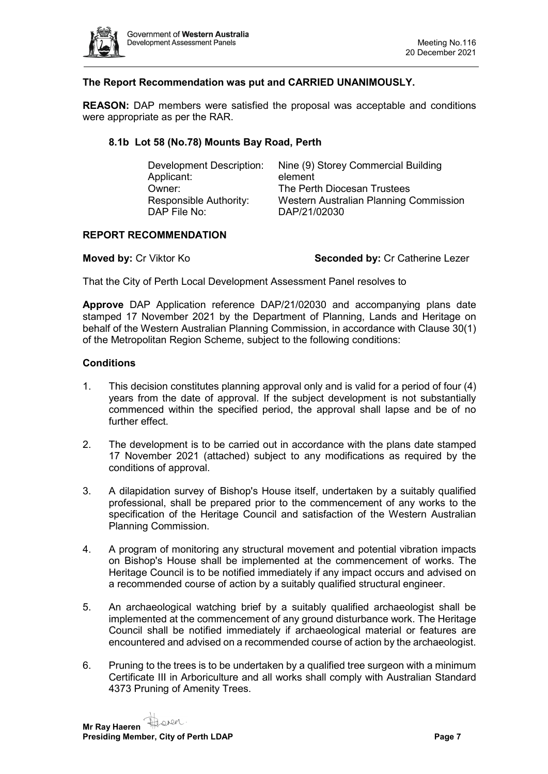

# **The Report Recommendation was put and CARRIED UNANIMOUSLY.**

**REASON:** DAP members were satisfied the proposal was acceptable and conditions were appropriate as per the RAR.

#### <span id="page-6-0"></span>**8.1b Lot 58 (No.78) Mounts Bay Road, Perth**

| Development Description: | Nine (9) Storey Commercial Building    |
|--------------------------|----------------------------------------|
| Applicant:               | element                                |
| Owner:                   | The Perth Diocesan Trustees            |
| Responsible Authority:   | Western Australian Planning Commission |
| DAP File No:             | DAP/21/02030                           |
|                          |                                        |

#### **REPORT RECOMMENDATION**

**Moved by:** Cr Viktor Ko **Seconded by:** Cr Catherine Lezer

That the City of Perth Local Development Assessment Panel resolves to

**Approve** DAP Application reference DAP/21/02030 and accompanying plans date stamped 17 November 2021 by the Department of Planning, Lands and Heritage on behalf of the Western Australian Planning Commission, in accordance with Clause 30(1) of the Metropolitan Region Scheme, subject to the following conditions:

#### **Conditions**

- 1. This decision constitutes planning approval only and is valid for a period of four (4) years from the date of approval. If the subject development is not substantially commenced within the specified period, the approval shall lapse and be of no further effect.
- 2. The development is to be carried out in accordance with the plans date stamped 17 November 2021 (attached) subject to any modifications as required by the conditions of approval.
- 3. A dilapidation survey of Bishop's House itself, undertaken by a suitably qualified professional, shall be prepared prior to the commencement of any works to the specification of the Heritage Council and satisfaction of the Western Australian Planning Commission.
- 4. A program of monitoring any structural movement and potential vibration impacts on Bishop's House shall be implemented at the commencement of works. The Heritage Council is to be notified immediately if any impact occurs and advised on a recommended course of action by a suitably qualified structural engineer.
- 5. An archaeological watching brief by a suitably qualified archaeologist shall be implemented at the commencement of any ground disturbance work. The Heritage Council shall be notified immediately if archaeological material or features are encountered and advised on a recommended course of action by the archaeologist.
- 6. Pruning to the trees is to be undertaken by a qualified tree surgeon with a minimum Certificate III in Arboriculture and all works shall comply with Australian Standard 4373 Pruning of Amenity Trees.